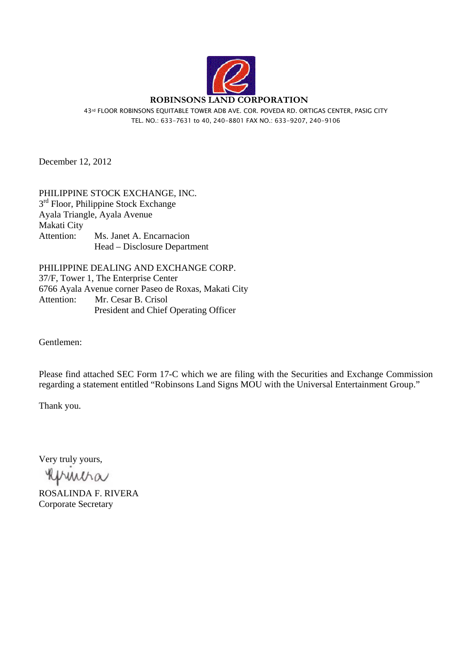

43rd FLOOR ROBINSONS EQUITABLE TOWER ADB AVE. COR. POVEDA RD. ORTIGAS CENTER, PASIG CITY TEL. NO.: 633-7631 to 40, 240-8801 FAX NO.: 633-9207, 240-9106

December 12, 2012

PHILIPPINE STOCK EXCHANGE, INC.  $3<sup>rd</sup>$  Floor, Philippine Stock Exchange Ayala Triangle, Ayala Avenue Makati City Attention: Ms. Janet A. Encarnacion Head – Disclosure Department

PHILIPPINE DEALING AND EXCHANGE CORP. 37/F, Tower 1, The Enterprise Center 6766 Ayala Avenue corner Paseo de Roxas, Makati City Attention: Mr. Cesar B. Crisol President and Chief Operating Officer

Gentlemen:

Please find attached SEC Form 17-C which we are filing with the Securities and Exchange Commission regarding a statement entitled "Robinsons Land Signs MOU with the Universal Entertainment Group."

Thank you.

Very truly yours,

Reprinting

ROSALINDA F. RIVERA Corporate Secretary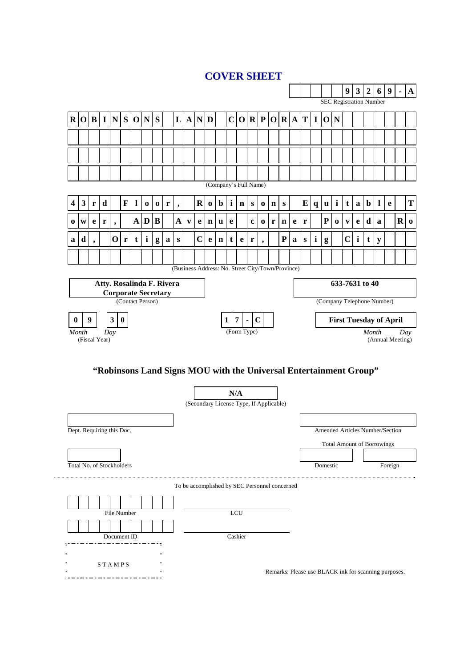# **COVER SHEET**



## **"Robinsons Land Signs MOU with the Universal Entertainment Group"**

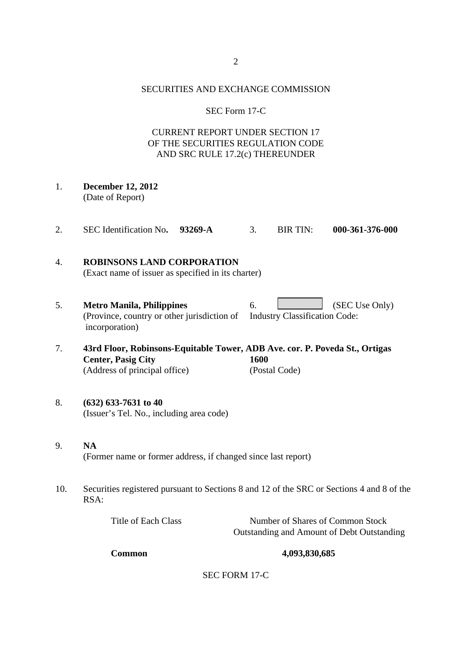#### SECURITIES AND EXCHANGE COMMISSION

### SEC Form 17-C

## CURRENT REPORT UNDER SECTION 17 OF THE SECURITIES REGULATION CODE AND SRC RULE 17.2(c) THEREUNDER

- 1. **December 12, 2012**  (Date of Report)
- 2. SEC Identification No**. 93269-A** 3. BIR TIN: **000-361-376-000**

## 4. **ROBINSONS LAND CORPORATION**  (Exact name of issuer as specified in its charter)

- 5. **Metro Manila, Philippines** 6. (SEC Use Only) (Province, country or other jurisdiction of Industry Classification Code: incorporation)
- 7. **43rd Floor, Robinsons-Equitable Tower, ADB Ave. cor. P. Poveda St., Ortigas Center, Pasig City 1600**  (Address of principal office) (Postal Code)
- 8. **(632) 633-7631 to 40**  (Issuer's Tel. No., including area code)
- 9. **NA**  (Former name or former address, if changed since last report)
- 10. Securities registered pursuant to Sections 8 and 12 of the SRC or Sections 4 and 8 of the RSA:

| Title of Each Class | Number of Shares of Common Stock           |
|---------------------|--------------------------------------------|
|                     | Outstanding and Amount of Debt Outstanding |

### **Common 4,093,830,685**

SEC FORM 17-C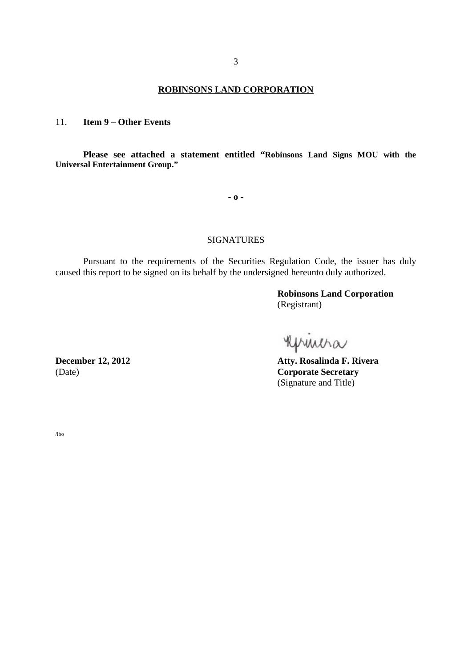### **ROBINSONS LAND CORPORATION**

11. **Item 9 – Other Events** 

**Please see attached a statement entitled "Robinsons Land Signs MOU with the Universal Entertainment Group."**

**- o -** 

### SIGNATURES

Pursuant to the requirements of the Securities Regulation Code, the issuer has duly caused this report to be signed on its behalf by the undersigned hereunto duly authorized.

> **Robinsons Land Corporation** (Registrant)

Kprincha

**Atty. Rosalinda F. Rivera** (Date) **Corporate Secretary (Signature and Title)** 

December 12, 2012

/lbo